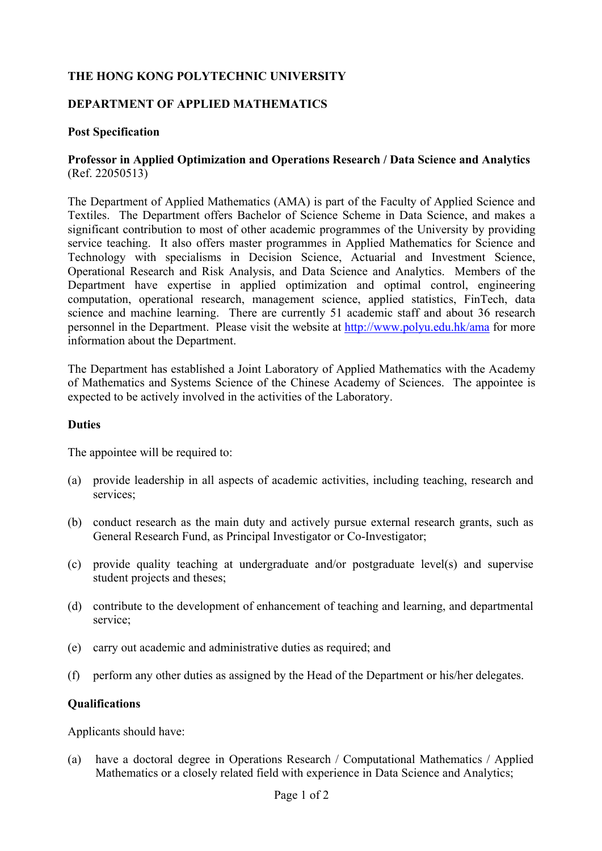# **THE HONG KONG POLYTECHNIC UNIVERSITY**

# **DEPARTMENT OF APPLIED MATHEMATICS**

## **Post Specification**

## **Professor in Applied Optimization and Operations Research / Data Science and Analytics**  (Ref. 22050513)

The Department of Applied Mathematics (AMA) is part of the Faculty of Applied Science and Textiles. The Department offers Bachelor of Science Scheme in Data Science, and makes a significant contribution to most of other academic programmes of the University by providing service teaching. It also offers master programmes in Applied Mathematics for Science and Technology with specialisms in Decision Science, Actuarial and Investment Science, Operational Research and Risk Analysis, and Data Science and Analytics. Members of the Department have expertise in applied optimization and optimal control, engineering computation, operational research, management science, applied statistics, FinTech, data science and machine learning. There are currently 51 academic staff and about 36 research personnel in the Department. Please visit the website at http://www.polyu.edu.hk/ama for more information about the Department.

The Department has established a Joint Laboratory of Applied Mathematics with the Academy of Mathematics and Systems Science of the Chinese Academy of Sciences. The appointee is expected to be actively involved in the activities of the Laboratory.

#### **Duties**

The appointee will be required to:

- (a) provide leadership in all aspects of academic activities, including teaching, research and services;
- (b) conduct research as the main duty and actively pursue external research grants, such as General Research Fund, as Principal Investigator or Co-Investigator;
- (c) provide quality teaching at undergraduate and/or postgraduate level(s) and supervise student projects and theses;
- (d) contribute to the development of enhancement of teaching and learning, and departmental service;
- (e) carry out academic and administrative duties as required; and
- (f) perform any other duties as assigned by the Head of the Department or his/her delegates.

## **Qualifications**

Applicants should have:

(a) have a doctoral degree in Operations Research / Computational Mathematics / Applied Mathematics or a closely related field with experience in Data Science and Analytics;